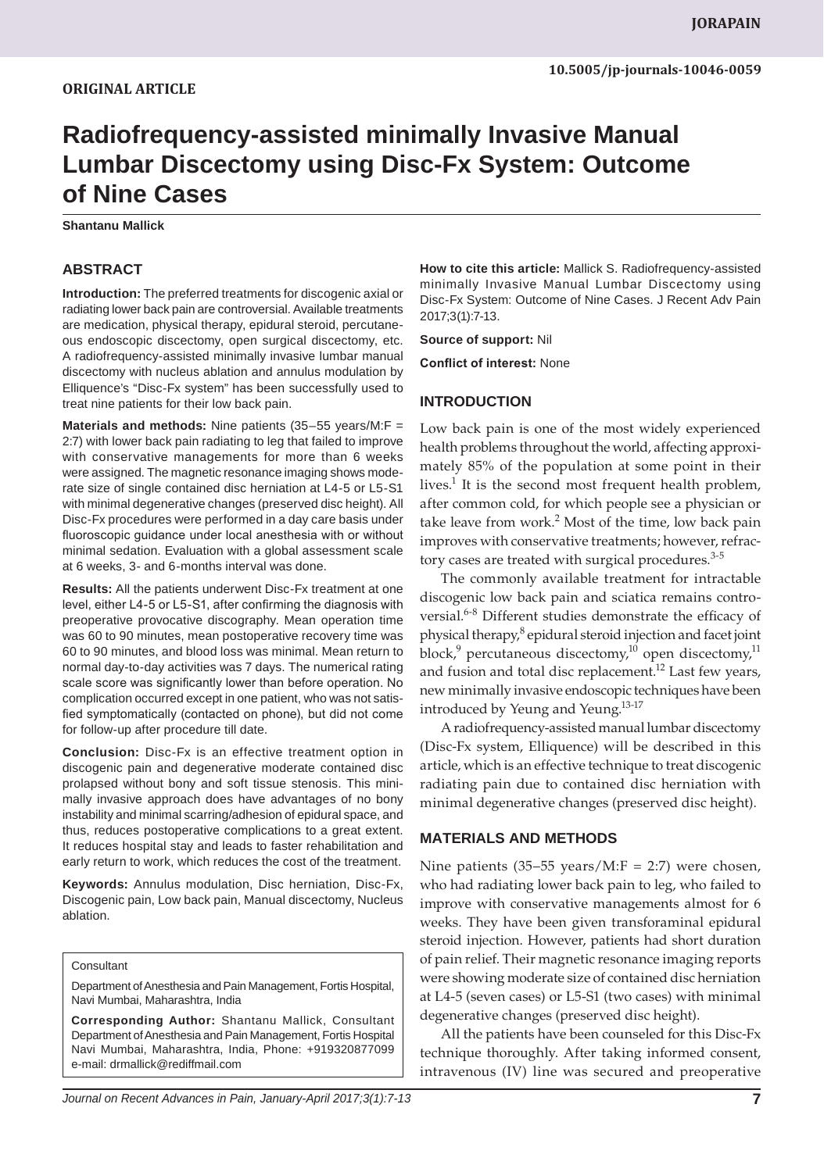# **Radiofrequency-assisted minimally Invasive Manual Lumbar Discectomy using Disc-Fx System: Outcome of Nine Cases**

**Shantanu Mallick**

## **ABSTRACT**

**Introduction:** The preferred treatments for discogenic axial or radiating lower back pain are controversial. Available treatments are medication, physical therapy, epidural steroid, percutaneous endoscopic discectomy, open surgical discectomy, etc. A radiofrequency-assisted minimally invasive lumbar manual discectomy with nucleus ablation and annulus modulation by Elliquence's "Disc-Fx system" has been successfully used to treat nine patients for their low back pain.

**Materials and methods:** Nine patients (35–55 years/M:F = 2:7) with lower back pain radiating to leg that failed to improve with conservative managements for more than 6 weeks were assigned. The magnetic resonance imaging shows moderate size of single contained disc herniation at L4-5 or L5-S1 with minimal degenerative changes (preserved disc height). All Disc-Fx procedures were performed in a day care basis under fluoroscopic guidance under local anesthesia with or without minimal sedation. Evaluation with a global assessment scale at 6 weeks, 3- and 6-months interval was done.

**Results:** All the patients underwent Disc-Fx treatment at one level, either L4-5 or L5-S1, after confirming the diagnosis with preoperative provocative discography. Mean operation time was 60 to 90 minutes, mean postoperative recovery time was 60 to 90 minutes, and blood loss was minimal. Mean return to normal day-to-day activities was 7 days. The numerical rating scale score was significantly lower than before operation. No complication occurred except in one patient, who was not satisfied symptomatically (contacted on phone), but did not come for follow-up after procedure till date.

**Conclusion:** Disc-Fx is an effective treatment option in discogenic pain and degenerative moderate contained disc prolapsed without bony and soft tissue stenosis. This minimally invasive approach does have advantages of no bony instability and minimal scarring/adhesion of epidural space, and thus, reduces postoperative complications to a great extent. It reduces hospital stay and leads to faster rehabilitation and early return to work, which reduces the cost of the treatment.

**Keywords:** Annulus modulation, Disc herniation, Disc-Fx, Discogenic pain, Low back pain, Manual discectomy, Nucleus ablation.

#### **Consultant**

Department of Anesthesia and Pain Management, Fortis Hospital, Navi Mumbai, Maharashtra, India

**Corresponding Author:** Shantanu Mallick, Consultant Department of Anesthesia and Pain Management, Fortis Hospital Navi Mumbai, Maharashtra, India, Phone: +919320877099 e-mail: drmallick@rediffmail.com

**How to cite this article:** Mallick S. Radiofrequency-assisted minimally Invasive Manual Lumbar Discectomy using Disc-Fx System: Outcome of Nine Cases. J Recent Adv Pain 2017;3(1):7-13.

**Source of support:** Nil

**Conflict of interest:** None

### **INTRODUCTION**

Low back pain is one of the most widely experienced health problems throughout the world, affecting approximately 85% of the population at some point in their lives.<sup>1</sup> It is the second most frequent health problem, after common cold, for which people see a physician or take leave from work.<sup>2</sup> Most of the time, low back pain improves with conservative treatments; however, refractory cases are treated with surgical procedures.<sup>3-5</sup>

The commonly available treatment for intractable discogenic low back pain and sciatica remains controversial.<sup>6-8</sup> Different studies demonstrate the efficacy of physical therapy,<sup>8</sup> epidural steroid injection and facet joint block,<sup>9</sup> percutaneous discectomy,<sup>10</sup> open discectomy,<sup>11</sup> and fusion and total disc replacement.<sup>12</sup> Last few years, new minimally invasive endoscopic techniques have been introduced by Yeung and Yeung.<sup>13-17</sup>

A radiofrequency-assisted manual lumbar discectomy (Disc-Fx system, Elliquence) will be described in this article, which is an effective technique to treat discogenic radiating pain due to contained disc herniation with minimal degenerative changes (preserved disc height).

## **MATERIALS AND METHODS**

Nine patients  $(35-55 \text{ years/M:}F = 2:7)$  were chosen, who had radiating lower back pain to leg, who failed to improve with conservative managements almost for 6 weeks. They have been given transforaminal epidural steroid injection. However, patients had short duration of pain relief. Their magnetic resonance imaging reports were showing moderate size of contained disc herniation at L4-5 (seven cases) or L5-S1 (two cases) with minimal degenerative changes (preserved disc height).

All the patients have been counseled for this Disc-Fx technique thoroughly. After taking informed consent, intravenous (IV) line was secured and preoperative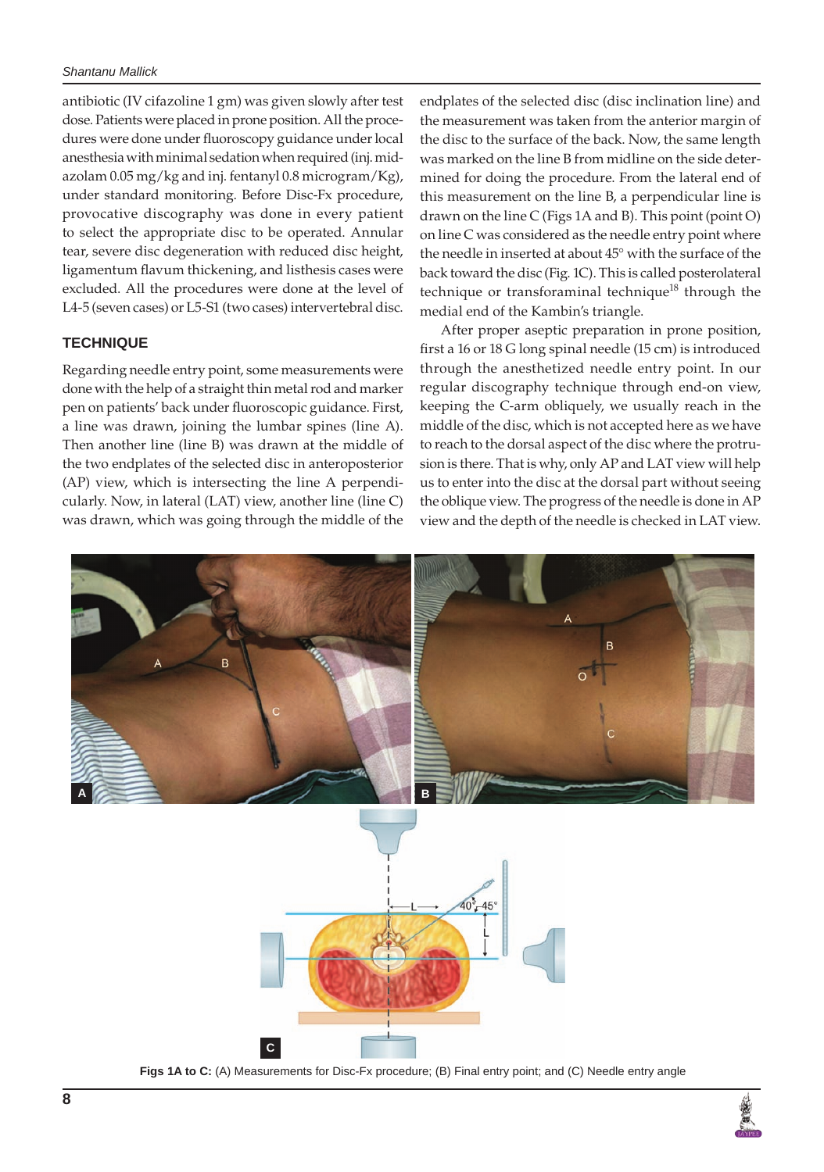### *Shantanu Mallick*

antibiotic (IV cifazoline 1 gm) was given slowly after test dose. Patients were placed in prone position. All the procedures were done under fluoroscopy guidance under local anesthesia with minimal sedation when required (inj. midazolam 0.05 mg/kg and inj. fentanyl 0.8 microgram/Kg), under standard monitoring. Before Disc-Fx procedure, provocative discography was done in every patient to select the appropriate disc to be operated. Annular tear, severe disc degeneration with reduced disc height, ligamentum flavum thickening, and listhesis cases were excluded. All the procedures were done at the level of L4-5 (seven cases) or L5-S1 (two cases) intervertebral disc.

# **TECHNIQUE**

Regarding needle entry point, some measurements were done with the help of a straight thin metal rod and marker pen on patients' back under fluoroscopic guidance. First, a line was drawn, joining the lumbar spines (line A). Then another line (line B) was drawn at the middle of the two endplates of the selected disc in anteroposterior (AP) view, which is intersecting the line A perpendicularly. Now, in lateral (LAT) view, another line (line C) was drawn, which was going through the middle of the

endplates of the selected disc (disc inclination line) and the measurement was taken from the anterior margin of the disc to the surface of the back. Now, the same length was marked on the line B from midline on the side determined for doing the procedure. From the lateral end of this measurement on the line B, a perpendicular line is drawn on the line C (Figs 1A and B). This point (point O) on line C was considered as the needle entry point where the needle in inserted at about 45° with the surface of the back toward the disc (Fig. 1C). This is called posterolateral technique or transforaminal technique<sup>18</sup> through the medial end of the Kambin's triangle.

After proper aseptic preparation in prone position, first a 16 or 18 G long spinal needle (15 cm) is introduced through the anesthetized needle entry point. In our regular discography technique through end-on view, keeping the C-arm obliquely, we usually reach in the middle of the disc, which is not accepted here as we have to reach to the dorsal aspect of the disc where the protrusion is there. That is why, only AP and LAT view will help us to enter into the disc at the dorsal part without seeing the oblique view. The progress of the needle is done in AP view and the depth of the needle is checked in LAT view.



**Figs 1A to C:** (A) Measurements for Disc-Fx procedure; (B) Final entry point; and (C) Needle entry angle

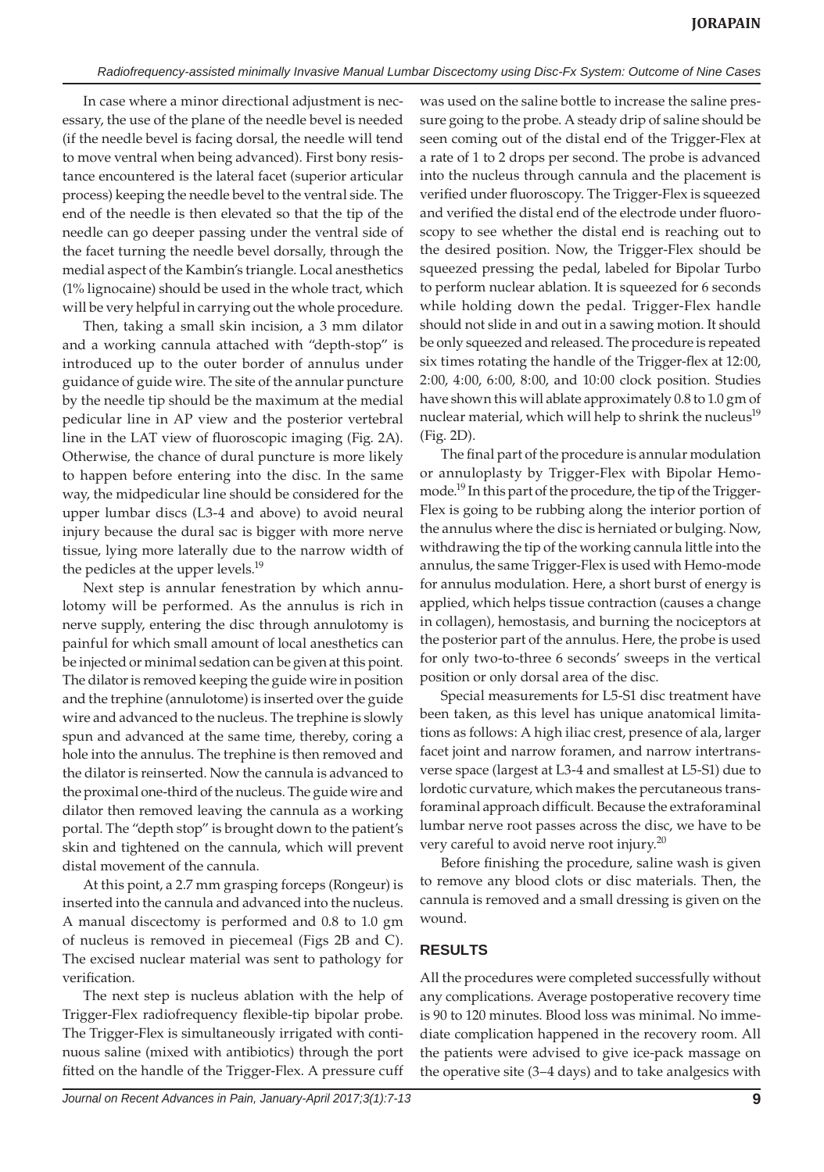In case where a minor directional adjustment is necessary, the use of the plane of the needle bevel is needed (if the needle bevel is facing dorsal, the needle will tend to move ventral when being advanced). First bony resistance encountered is the lateral facet (superior articular process) keeping the needle bevel to the ventral side. The end of the needle is then elevated so that the tip of the needle can go deeper passing under the ventral side of the facet turning the needle bevel dorsally, through the medial aspect of the Kambin's triangle. Local anesthetics (1% lignocaine) should be used in the whole tract, which will be very helpful in carrying out the whole procedure.

Then, taking a small skin incision, a 3 mm dilator and a working cannula attached with "depth-stop" is introduced up to the outer border of annulus under guidance of guide wire. The site of the annular puncture by the needle tip should be the maximum at the medial pedicular line in AP view and the posterior vertebral line in the LAT view of fluoroscopic imaging (Fig. 2A). Otherwise, the chance of dural puncture is more likely to happen before entering into the disc. In the same way, the midpedicular line should be considered for the upper lumbar discs (L3-4 and above) to avoid neural injury because the dural sac is bigger with more nerve tissue, lying more laterally due to the narrow width of the pedicles at the upper levels.<sup>19</sup>

Next step is annular fenestration by which annulotomy will be performed. As the annulus is rich in nerve supply, entering the disc through annulotomy is painful for which small amount of local anesthetics can be injected or minimal sedation can be given at this point. The dilator is removed keeping the guide wire in position and the trephine (annulotome) is inserted over the guide wire and advanced to the nucleus. The trephine is slowly spun and advanced at the same time, thereby, coring a hole into the annulus. The trephine is then removed and the dilator is reinserted. Now the cannula is advanced to the proximal one-third of the nucleus. The guide wire and dilator then removed leaving the cannula as a working portal. The "depth stop" is brought down to the patient's skin and tightened on the cannula, which will prevent distal movement of the cannula.

At this point, a 2.7 mm grasping forceps (Rongeur) is inserted into the cannula and advanced into the nucleus. A manual discectomy is performed and 0.8 to 1.0 gm of nucleus is removed in piecemeal (Figs 2B and C). The excised nuclear material was sent to pathology for verification.

The next step is nucleus ablation with the help of Trigger-Flex radiofrequency flexible-tip bipolar probe. The Trigger-Flex is simultaneously irrigated with continuous saline (mixed with antibiotics) through the port fitted on the handle of the Trigger-Flex. A pressure cuff was used on the saline bottle to increase the saline pressure going to the probe. A steady drip of saline should be seen coming out of the distal end of the Trigger-Flex at a rate of 1 to 2 drops per second. The probe is advanced into the nucleus through cannula and the placement is verified under fluoroscopy. The Trigger-Flex is squeezed and verified the distal end of the electrode under fluoroscopy to see whether the distal end is reaching out to the desired position. Now, the Trigger-Flex should be squeezed pressing the pedal, labeled for Bipolar Turbo to perform nuclear ablation. It is squeezed for 6 seconds while holding down the pedal. Trigger-Flex handle should not slide in and out in a sawing motion. It should be only squeezed and released. The procedure is repeated six times rotating the handle of the Trigger-flex at 12:00, 2:00, 4:00, 6:00, 8:00, and 10:00 clock position. Studies have shown this will ablate approximately 0.8 to 1.0 gm of nuclear material, which will help to shrink the nucleus<sup>19</sup> (Fig. 2D).

The final part of the procedure is annular modulation or annuloplasty by Trigger-Flex with Bipolar Hemomode.<sup>19</sup> In this part of the procedure, the tip of the Trigger-Flex is going to be rubbing along the interior portion of the annulus where the disc is herniated or bulging. Now, withdrawing the tip of the working cannula little into the annulus, the same Trigger-Flex is used with Hemo-mode for annulus modulation. Here, a short burst of energy is applied, which helps tissue contraction (causes a change in collagen), hemostasis, and burning the nociceptors at the posterior part of the annulus. Here, the probe is used for only two-to-three 6 seconds' sweeps in the vertical position or only dorsal area of the disc.

Special measurements for L5-S1 disc treatment have been taken, as this level has unique anatomical limitations as follows: A high iliac crest, presence of ala, larger facet joint and narrow foramen, and narrow intertransverse space (largest at L3-4 and smallest at L5-S1) due to lordotic curvature, which makes the percutaneous transforaminal approach difficult. Because the extraforaminal lumbar nerve root passes across the disc, we have to be very careful to avoid nerve root injury.<sup>20</sup>

Before finishing the procedure, saline wash is given to remove any blood clots or disc materials. Then, the cannula is removed and a small dressing is given on the wound.

## **RESULTS**

All the procedures were completed successfully without any complications. Average postoperative recovery time is 90 to 120 minutes. Blood loss was minimal. No immediate complication happened in the recovery room. All the patients were advised to give ice-pack massage on the operative site (3–4 days) and to take analgesics with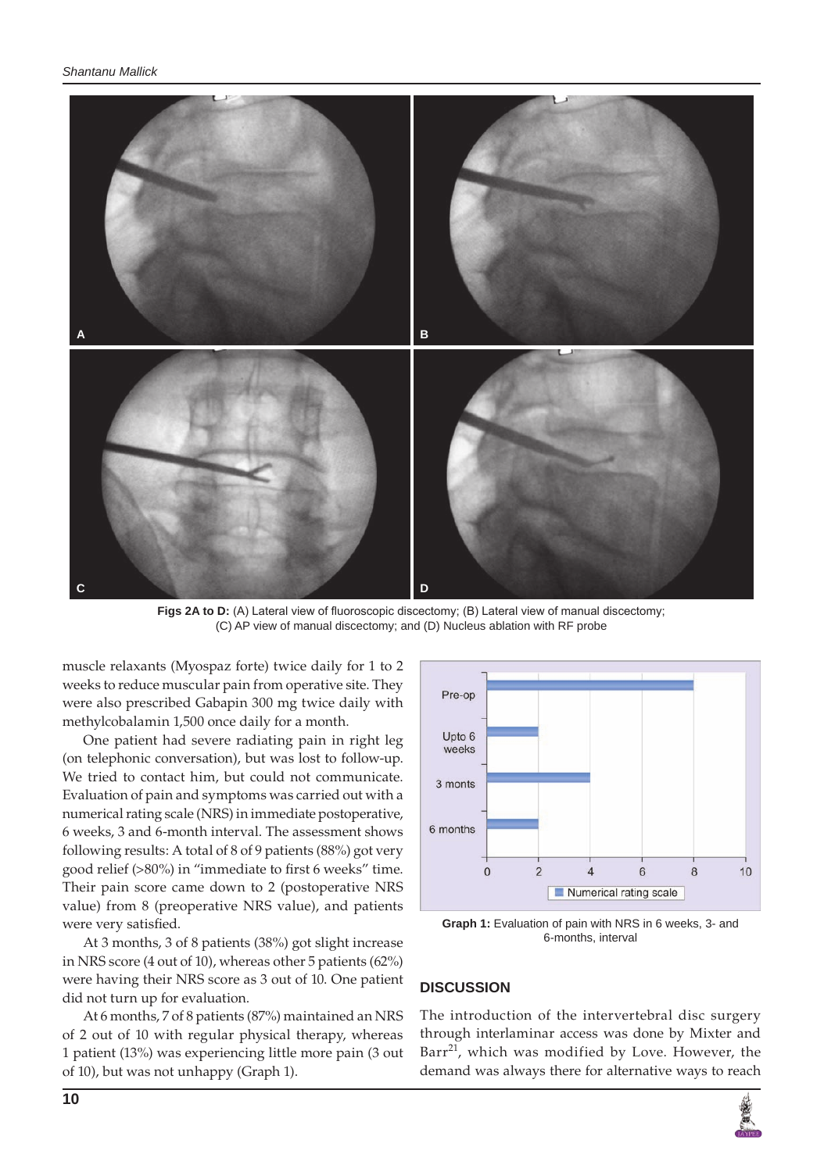

Figs 2A to D: (A) Lateral view of fluoroscopic discectomy; (B) Lateral view of manual discectomy; (C) AP view of manual discectomy; and (D) Nucleus ablation with RF probe

muscle relaxants (Myospaz forte) twice daily for 1 to 2 weeks to reduce muscular pain from operative site. They were also prescribed Gabapin 300 mg twice daily with methylcobalamin 1,500 once daily for a month.

One patient had severe radiating pain in right leg (on telephonic conversation), but was lost to follow-up. We tried to contact him, but could not communicate. Evaluation of pain and symptoms was carried out with a numerical rating scale (NRS) in immediate postoperative, 6 weeks, 3 and 6-month interval. The assessment shows following results: A total of 8 of 9 patients (88%) got very good relief (>80%) in "immediate to first 6 weeks" time. Their pain score came down to 2 (postoperative NRS value) from 8 (preoperative NRS value), and patients were very satisfied.

At 3 months, 3 of 8 patients (38%) got slight increase in NRS score (4 out of 10), whereas other 5 patients (62%) were having their NRS score as 3 out of 10. One patient did not turn up for evaluation.

At 6 months, 7 of 8 patients (87%) maintained an NRS of 2 out of 10 with regular physical therapy, whereas 1 patient (13%) was experiencing little more pain (3 out of 10), but was not unhappy (Graph 1).



**Graph 1:** Evaluation of pain with NRS in 6 weeks, 3- and 6-months, interval

## **DISCUSSION**

The introduction of the intervertebral disc surgery through interlaminar access was done by Mixter and Barr $^{21}$ , which was modified by Love. However, the demand was always there for alternative ways to reach

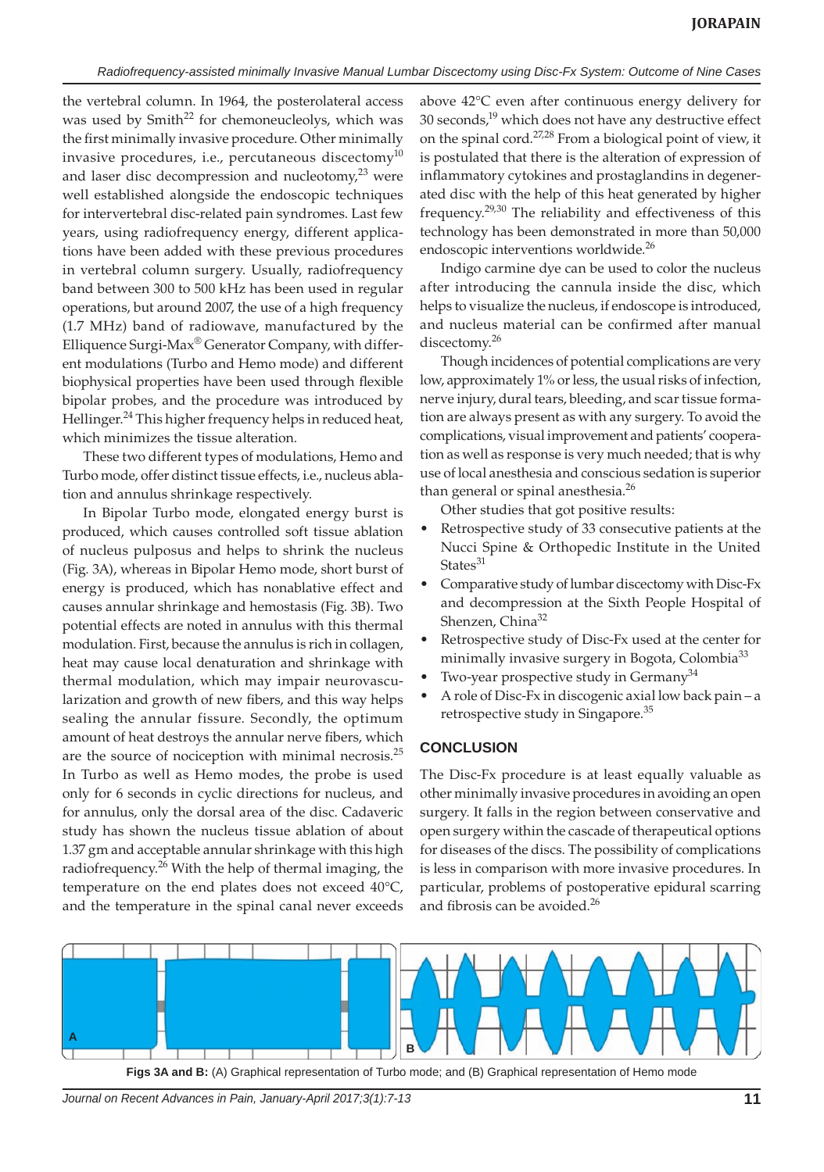the vertebral column. In 1964, the posterolateral access was used by Smith<sup>22</sup> for chemoneucleolys, which was the first minimally invasive procedure. Other minimally invasive procedures, i.e., percutaneous discectomy $^{10}$ and laser disc decompression and nucleotomy, $^{23}$  were well established alongside the endoscopic techniques for intervertebral disc-related pain syndromes. Last few years, using radiofrequency energy, different applications have been added with these previous procedures in vertebral column surgery. Usually, radiofrequency band between 300 to 500 kHz has been used in regular operations, but around 2007, the use of a high frequency (1.7 MHz) band of radiowave, manufactured by the Elliquence Surgi-Max® Generator Company, with different modulations (Turbo and Hemo mode) and different biophysical properties have been used through flexible bipolar probes, and the procedure was introduced by Hellinger.<sup>24</sup> This higher frequency helps in reduced heat, which minimizes the tissue alteration.

These two different types of modulations, Hemo and Turbo mode, offer distinct tissue effects, i.e., nucleus ablation and annulus shrinkage respectively.

In Bipolar Turbo mode, elongated energy burst is produced, which causes controlled soft tissue ablation of nucleus pulposus and helps to shrink the nucleus (Fig. 3A), whereas in Bipolar Hemo mode, short burst of energy is produced, which has nonablative effect and causes annular shrinkage and hemostasis (Fig. 3B). Two potential effects are noted in annulus with this thermal modulation. First, because the annulus is rich in collagen, heat may cause local denaturation and shrinkage with thermal modulation, which may impair neurovascularization and growth of new fibers, and this way helps sealing the annular fissure. Secondly, the optimum amount of heat destroys the annular nerve fibers, which are the source of nociception with minimal necrosis.<sup>25</sup> In Turbo as well as Hemo modes, the probe is used only for 6 seconds in cyclic directions for nucleus, and for annulus, only the dorsal area of the disc. Cadaveric study has shown the nucleus tissue ablation of about 1.37 gm and acceptable annular shrinkage with this high radiofrequency.<sup>26</sup> With the help of thermal imaging, the temperature on the end plates does not exceed 40°C, and the temperature in the spinal canal never exceeds

above 42°C even after continuous energy delivery for 30 seconds, $19$  which does not have any destructive effect on the spinal cord.27,28 From a biological point of view, it is postulated that there is the alteration of expression of inflammatory cytokines and prostaglandins in degenerated disc with the help of this heat generated by higher frequency.29,30 The reliability and effectiveness of this technology has been demonstrated in more than 50,000 endoscopic interventions worldwide.<sup>26</sup>

Indigo carmine dye can be used to color the nucleus after introducing the cannula inside the disc, which helps to visualize the nucleus, if endoscope is introduced, and nucleus material can be confirmed after manual discectomy.<sup>26</sup>

Though incidences of potential complications are very low, approximately 1% or less, the usual risks of infection, nerve injury, dural tears, bleeding, and scar tissue formation are always present as with any surgery. To avoid the complications, visual improvement and patients' cooperation as well as response is very much needed; that is why use of local anesthesia and conscious sedation is superior than general or spinal anesthesia.<sup>26</sup>

Other studies that got positive results:

- Retrospective study of 33 consecutive patients at the Nucci Spine & Orthopedic Institute in the United States $31$
- Comparative study of lumbar discectomy with Disc-Fx and decompression at the Sixth People Hospital of Shenzen, China<sup>32</sup>
- Retrospective study of Disc-Fx used at the center for minimally invasive surgery in Bogota, Colombia<sup>33</sup>
- Two-year prospective study in Germany<sup>34</sup>
- A role of Disc-Fx in discogenic axial low back pain a retrospective study in Singapore.<sup>35</sup>

#### **CONCLUSION**

The Disc-Fx procedure is at least equally valuable as other minimally invasive procedures in avoiding an open surgery. It falls in the region between conservative and open surgery within the cascade of therapeutical options for diseases of the discs. The possibility of complications is less in comparison with more invasive procedures. In particular, problems of postoperative epidural scarring and fibrosis can be avoided.<sup>26</sup>



**Figs 3A and B:** (A) Graphical representation of Turbo mode; and (B) Graphical representation of Hemo mode

*Journal on Recent Advances in Pain, January-April 2017;3(1):7-13* **11**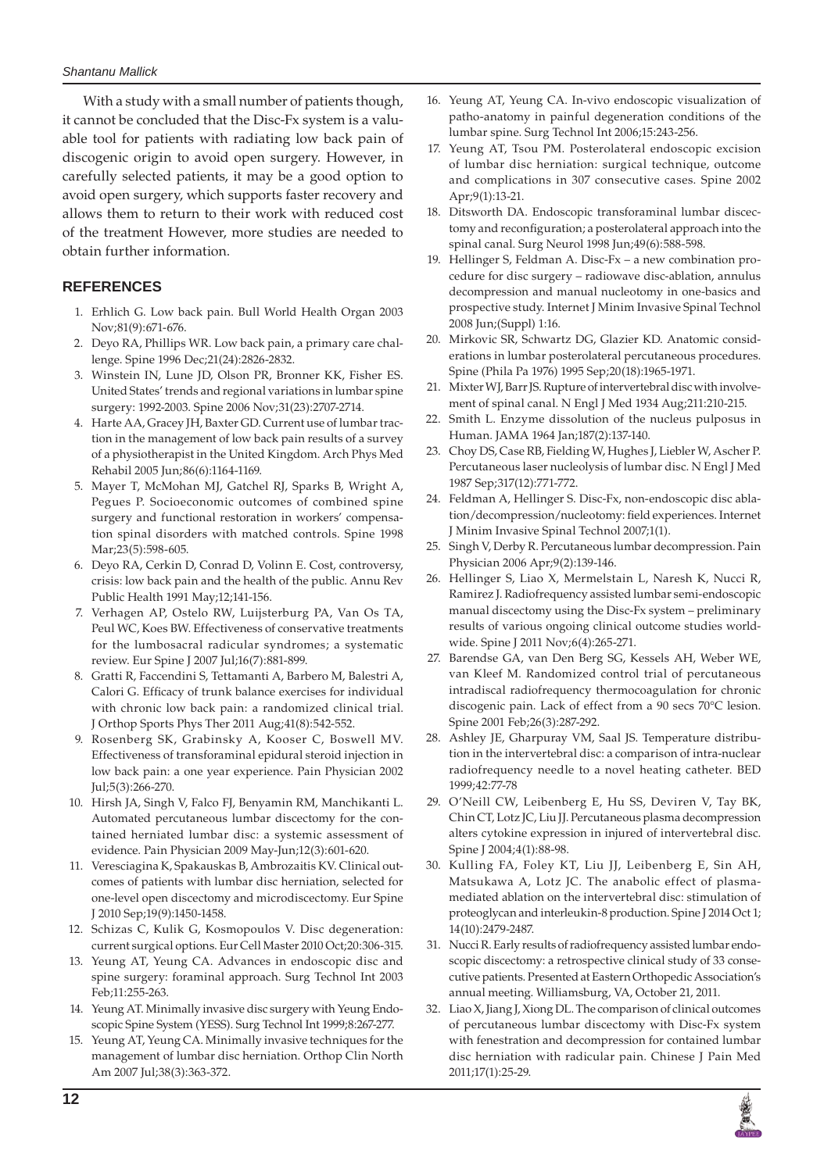With a study with a small number of patients though, it cannot be concluded that the Disc-Fx system is a valuable tool for patients with radiating low back pain of discogenic origin to avoid open surgery. However, in carefully selected patients, it may be a good option to avoid open surgery, which supports faster recovery and allows them to return to their work with reduced cost of the treatment However, more studies are needed to obtain further information.

## **REFERENCES**

- 1. Erhlich G. Low back pain. Bull World Health Organ 2003 Nov;81(9):671-676.
- 2. Deyo RA, Phillips WR. Low back pain, a primary care challenge. Spine 1996 Dec;21(24):2826-2832.
- 3. Winstein IN, Lune JD, Olson PR, Bronner KK, Fisher ES. United States' trends and regional variations in lumbar spine surgery: 1992-2003. Spine 2006 Nov;31(23):2707-2714.
- 4. Harte AA, Gracey JH, Baxter GD. Current use of lumbar traction in the management of low back pain results of a survey of a physiotherapist in the United Kingdom. Arch Phys Med Rehabil 2005 Jun;86(6):1164-1169.
- 5. Mayer T, McMohan MJ, Gatchel RJ, Sparks B, Wright A, Pegues P. Socioeconomic outcomes of combined spine surgery and functional restoration in workers' compensation spinal disorders with matched controls. Spine 1998 Mar;23(5):598-605.
- 6. Deyo RA, Cerkin D, Conrad D, Volinn E. Cost, controversy, crisis: low back pain and the health of the public. Annu Rev Public Health 1991 May;12;141-156.
- 7. Verhagen AP, Ostelo RW, Luijsterburg PA, Van Os TA, Peul WC, Koes BW. Effectiveness of conservative treatments for the lumbosacral radicular syndromes; a systematic review. Eur Spine J 2007 Jul;16(7):881-899.
- 8. Gratti R, Faccendini S, Tettamanti A, Barbero M, Balestri A, Calori G. Efficacy of trunk balance exercises for individual with chronic low back pain: a randomized clinical trial. J Orthop Sports Phys Ther 2011 Aug;41(8):542-552.
- 9. Rosenberg SK, Grabinsky A, Kooser C, Boswell MV. Effectiveness of transforaminal epidural steroid injection in low back pain: a one year experience. Pain Physician 2002 Jul;5(3):266-270.
- 10. Hirsh JA, Singh V, Falco FJ, Benyamin RM, Manchikanti L. Automated percutaneous lumbar discectomy for the contained herniated lumbar disc: a systemic assessment of evidence. Pain Physician 2009 May-Jun;12(3):601-620.
- 11. Veresciagina K, Spakauskas B, Ambrozaitis KV. Clinical outcomes of patients with lumbar disc herniation, selected for one-level open discectomy and microdiscectomy. Eur Spine J 2010 Sep;19(9):1450-1458.
- 12. Schizas C, Kulik G, Kosmopoulos V. Disc degeneration: current surgical options. Eur Cell Master 2010 Oct;20:306-315.
- 13. Yeung AT, Yeung CA. Advances in endoscopic disc and spine surgery: foraminal approach. Surg Technol Int 2003 Feb;11:255-263.
- 14. Yeung AT. Minimally invasive disc surgery with Yeung Endoscopic Spine System (YESS). Surg Technol Int 1999;8:267-277.
- 15. Yeung AT, Yeung CA. Minimally invasive techniques for the management of lumbar disc herniation. Orthop Clin North Am 2007 Jul;38(3):363-372.
- 16. Yeung AT, Yeung CA. In-vivo endoscopic visualization of patho-anatomy in painful degeneration conditions of the lumbar spine. Surg Technol Int 2006;15:243-256.
- 17. Yeung AT, Tsou PM. Posterolateral endoscopic excision of lumbar disc herniation: surgical technique, outcome and complications in 307 consecutive cases. Spine 2002 Apr;9(1):13-21.
- 18. Ditsworth DA. Endoscopic transforaminal lumbar discectomy and reconfiguration; a posterolateral approach into the spinal canal. Surg Neurol 1998 Jun;49(6):588-598.
- 19. Hellinger S, Feldman A. Disc-Fx a new combination procedure for disc surgery – radiowave disc-ablation, annulus decompression and manual nucleotomy in one-basics and prospective study. Internet J Minim Invasive Spinal Technol 2008 Jun;(Suppl) 1:16.
- 20. Mirkovic SR, Schwartz DG, Glazier KD. Anatomic considerations in lumbar posterolateral percutaneous procedures. Spine (Phila Pa 1976) 1995 Sep;20(18):1965-1971.
- 21. Mixter WJ, Barr JS. Rupture of intervertebral disc with involvement of spinal canal. N Engl J Med 1934 Aug;211:210-215.
- 22. Smith L. Enzyme dissolution of the nucleus pulposus in Human. JAMA 1964 Jan;187(2):137-140.
- 23. Choy DS, Case RB, Fielding W, Hughes J, Liebler W, Ascher P. Percutaneous laser nucleolysis of lumbar disc. N Engl J Med 1987 Sep;317(12):771-772.
- 24. Feldman A, Hellinger S. Disc-Fx, non-endoscopic disc ablation/decompression/nucleotomy: field experiences. Internet J Minim Invasive Spinal Technol 2007;1(1).
- 25. Singh V, Derby R. Percutaneous lumbar decompression. Pain Physician 2006 Apr;9(2):139-146.
- 26. Hellinger S, Liao X, Mermelstain L, Naresh K, Nucci R, Ramirez J. Radiofrequency assisted lumbar semi-endoscopic manual discectomy using the Disc-Fx system – preliminary results of various ongoing clinical outcome studies worldwide. Spine J 2011 Nov;6(4):265-271.
- 27. Barendse GA, van Den Berg SG, Kessels AH, Weber WE, van Kleef M. Randomized control trial of percutaneous intradiscal radiofrequency thermocoagulation for chronic discogenic pain. Lack of effect from a 90 secs 70°C lesion. Spine 2001 Feb;26(3):287-292.
- Ashley JE, Gharpuray VM, Saal JS. Temperature distribution in the intervertebral disc: a comparison of intra-nuclear radiofrequency needle to a novel heating catheter. BED 1999;42:77-78
- 29. O'Neill CW, Leibenberg E, Hu SS, Deviren V, Tay BK, Chin CT, Lotz JC, Liu JJ. Percutaneous plasma decompression alters cytokine expression in injured of intervertebral disc. Spine J 2004;4(1):88-98.
- 30. Kulling FA, Foley KT, Liu JJ, Leibenberg E, Sin AH, Matsukawa A, Lotz JC. The anabolic effect of plasmamediated ablation on the intervertebral disc: stimulation of proteoglycan and interleukin-8 production. Spine J 2014 Oct 1; 14(10):2479-2487.
- 31. Nucci R. Early results of radiofrequency assisted lumbar endoscopic discectomy: a retrospective clinical study of 33 consecutive patients. Presented at Eastern Orthopedic Association's annual meeting. Williamsburg, VA, October 21, 2011.
- 32. Liao X, Jiang J, Xiong DL. The comparison of clinical outcomes of percutaneous lumbar discectomy with Disc-Fx system with fenestration and decompression for contained lumbar disc herniation with radicular pain. Chinese J Pain Med 2011;17(1):25-29.